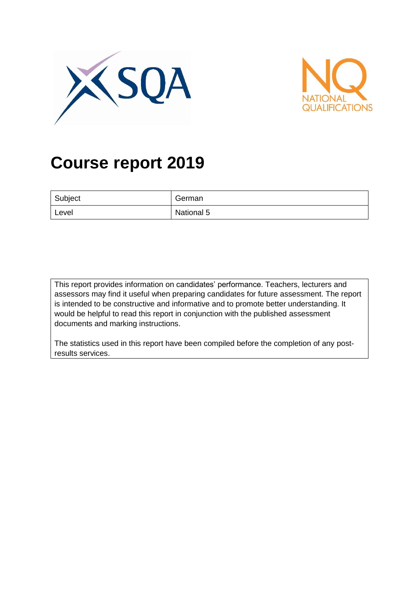



# **Course report 2019**

| Subject | German     |
|---------|------------|
| Level   | National 5 |

This report provides information on candidates' performance. Teachers, lecturers and assessors may find it useful when preparing candidates for future assessment. The report is intended to be constructive and informative and to promote better understanding. It would be helpful to read this report in conjunction with the published assessment documents and marking instructions.

The statistics used in this report have been compiled before the completion of any postresults services.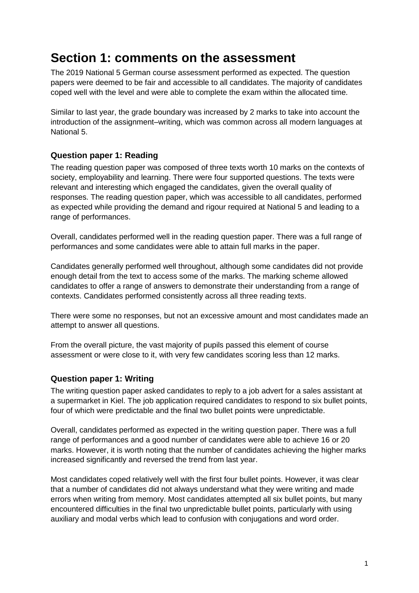## **Section 1: comments on the assessment**

The 2019 National 5 German course assessment performed as expected. The question papers were deemed to be fair and accessible to all candidates. The majority of candidates coped well with the level and were able to complete the exam within the allocated time.

Similar to last year, the grade boundary was increased by 2 marks to take into account the introduction of the assignment–writing, which was common across all modern languages at National 5.

#### **Question paper 1: Reading**

The reading question paper was composed of three texts worth 10 marks on the contexts of society, employability and learning. There were four supported questions. The texts were relevant and interesting which engaged the candidates, given the overall quality of responses. The reading question paper, which was accessible to all candidates, performed as expected while providing the demand and rigour required at National 5 and leading to a range of performances.

Overall, candidates performed well in the reading question paper. There was a full range of performances and some candidates were able to attain full marks in the paper.

Candidates generally performed well throughout, although some candidates did not provide enough detail from the text to access some of the marks. The marking scheme allowed candidates to offer a range of answers to demonstrate their understanding from a range of contexts. Candidates performed consistently across all three reading texts.

There were some no responses, but not an excessive amount and most candidates made an attempt to answer all questions.

From the overall picture, the vast majority of pupils passed this element of course assessment or were close to it, with very few candidates scoring less than 12 marks.

#### **Question paper 1: Writing**

The writing question paper asked candidates to reply to a job advert for a sales assistant at a supermarket in Kiel. The job application required candidates to respond to six bullet points, four of which were predictable and the final two bullet points were unpredictable.

Overall, candidates performed as expected in the writing question paper. There was a full range of performances and a good number of candidates were able to achieve 16 or 20 marks. However, it is worth noting that the number of candidates achieving the higher marks increased significantly and reversed the trend from last year.

Most candidates coped relatively well with the first four bullet points. However, it was clear that a number of candidates did not always understand what they were writing and made errors when writing from memory. Most candidates attempted all six bullet points, but many encountered difficulties in the final two unpredictable bullet points, particularly with using auxiliary and modal verbs which lead to confusion with conjugations and word order.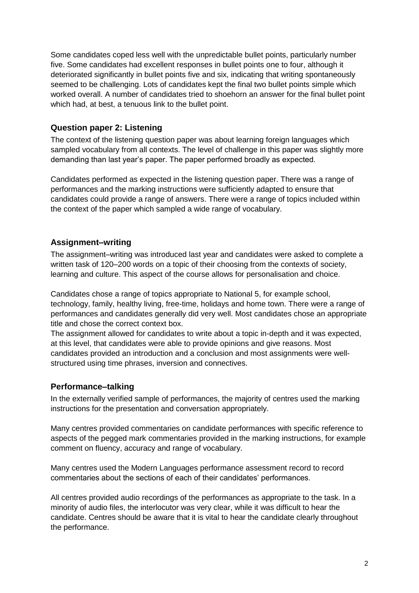Some candidates coped less well with the unpredictable bullet points, particularly number five. Some candidates had excellent responses in bullet points one to four, although it deteriorated significantly in bullet points five and six, indicating that writing spontaneously seemed to be challenging. Lots of candidates kept the final two bullet points simple which worked overall. A number of candidates tried to shoehorn an answer for the final bullet point which had, at best, a tenuous link to the bullet point.

#### **Question paper 2: Listening**

The context of the listening question paper was about learning foreign languages which sampled vocabulary from all contexts. The level of challenge in this paper was slightly more demanding than last year's paper. The paper performed broadly as expected.

Candidates performed as expected in the listening question paper. There was a range of performances and the marking instructions were sufficiently adapted to ensure that candidates could provide a range of answers. There were a range of topics included within the context of the paper which sampled a wide range of vocabulary.

#### **Assignment–writing**

The assignment–writing was introduced last year and candidates were asked to complete a written task of 120–200 words on a topic of their choosing from the contexts of society, learning and culture. This aspect of the course allows for personalisation and choice.

Candidates chose a range of topics appropriate to National 5, for example school, technology, family, healthy living, free-time, holidays and home town. There were a range of performances and candidates generally did very well. Most candidates chose an appropriate title and chose the correct context box.

The assignment allowed for candidates to write about a topic in-depth and it was expected, at this level, that candidates were able to provide opinions and give reasons. Most candidates provided an introduction and a conclusion and most assignments were wellstructured using time phrases, inversion and connectives.

#### **Performance–talking**

In the externally verified sample of performances, the majority of centres used the marking instructions for the presentation and conversation appropriately.

Many centres provided commentaries on candidate performances with specific reference to aspects of the pegged mark commentaries provided in the marking instructions, for example comment on fluency, accuracy and range of vocabulary.

Many centres used the Modern Languages performance assessment record to record commentaries about the sections of each of their candidates' performances.

All centres provided audio recordings of the performances as appropriate to the task. In a minority of audio files, the interlocutor was very clear, while it was difficult to hear the candidate. Centres should be aware that it is vital to hear the candidate clearly throughout the performance.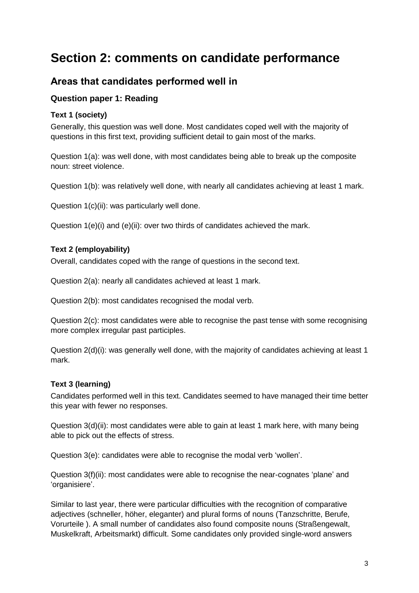## **Section 2: comments on candidate performance**

### **Areas that candidates performed well in**

#### **Question paper 1: Reading**

#### **Text 1 (society)**

Generally, this question was well done. Most candidates coped well with the majority of questions in this first text, providing sufficient detail to gain most of the marks.

Question 1(a): was well done, with most candidates being able to break up the composite noun: street violence.

Question 1(b): was relatively well done, with nearly all candidates achieving at least 1 mark.

Question 1(c)(ii): was particularly well done.

Question 1(e)(i) and (e)(ii): over two thirds of candidates achieved the mark.

#### **Text 2 (employability)**

Overall, candidates coped with the range of questions in the second text.

Question 2(a): nearly all candidates achieved at least 1 mark.

Question 2(b): most candidates recognised the modal verb.

Question 2(c): most candidates were able to recognise the past tense with some recognising more complex irregular past participles.

Question 2(d)(i): was generally well done, with the majority of candidates achieving at least 1 mark.

#### **Text 3 (learning)**

Candidates performed well in this text. Candidates seemed to have managed their time better this year with fewer no responses.

Question 3(d)(ii): most candidates were able to gain at least 1 mark here, with many being able to pick out the effects of stress.

Question 3(e): candidates were able to recognise the modal verb 'wollen'.

Question 3(f)(ii): most candidates were able to recognise the near-cognates 'plane' and 'organisiere'.

Similar to last year, there were particular difficulties with the recognition of comparative adjectives (schneller, höher, eleganter) and plural forms of nouns (Tanzschritte, Berufe, Vorurteile ). A small number of candidates also found composite nouns (Straßengewalt, Muskelkraft, Arbeitsmarkt) difficult. Some candidates only provided single-word answers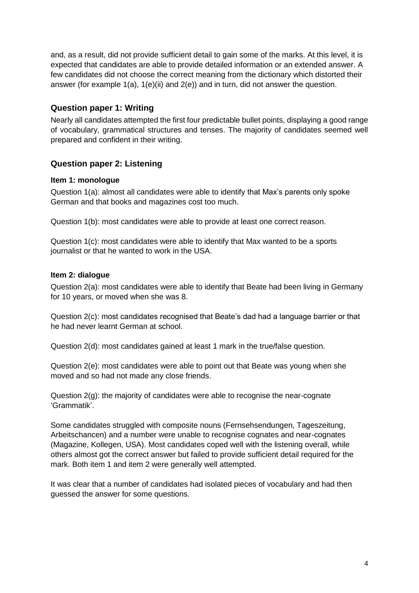and, as a result, did not provide sufficient detail to gain some of the marks. At this level, it is expected that candidates are able to provide detailed information or an extended answer. A few candidates did not choose the correct meaning from the dictionary which distorted their answer (for example 1(a), 1(e)(ii) and 2(e)) and in turn, did not answer the question.

#### **Question paper 1: Writing**

Nearly all candidates attempted the first four predictable bullet points, displaying a good range of vocabulary, grammatical structures and tenses. The majority of candidates seemed well prepared and confident in their writing.

#### **Question paper 2: Listening**

#### **Item 1: monologue**

Question 1(a): almost all candidates were able to identify that Max's parents only spoke German and that books and magazines cost too much.

Question 1(b): most candidates were able to provide at least one correct reason.

Question 1(c): most candidates were able to identify that Max wanted to be a sports journalist or that he wanted to work in the USA.

#### **Item 2: dialogue**

Question 2(a): most candidates were able to identify that Beate had been living in Germany for 10 years, or moved when she was 8.

Question 2(c): most candidates recognised that Beate's dad had a language barrier or that he had never learnt German at school.

Question 2(d): most candidates gained at least 1 mark in the true/false question.

Question 2(e): most candidates were able to point out that Beate was young when she moved and so had not made any close friends.

Question 2(g): the majority of candidates were able to recognise the near-cognate 'Grammatik'.

Some candidates struggled with composite nouns (Fernsehsendungen, Tageszeitung, Arbeitschancen) and a number were unable to recognise cognates and near-cognates (Magazine, Kollegen, USA). Most candidates coped well with the listening overall, while others almost got the correct answer but failed to provide sufficient detail required for the mark. Both item 1 and item 2 were generally well attempted.

It was clear that a number of candidates had isolated pieces of vocabulary and had then guessed the answer for some questions.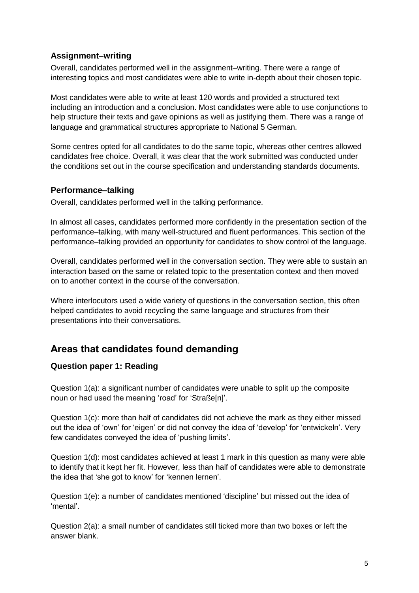#### **Assignment–writing**

Overall, candidates performed well in the assignment–writing. There were a range of interesting topics and most candidates were able to write in-depth about their chosen topic.

Most candidates were able to write at least 120 words and provided a structured text including an introduction and a conclusion. Most candidates were able to use conjunctions to help structure their texts and gave opinions as well as justifying them. There was a range of language and grammatical structures appropriate to National 5 German.

Some centres opted for all candidates to do the same topic, whereas other centres allowed candidates free choice. Overall, it was clear that the work submitted was conducted under the conditions set out in the course specification and understanding standards documents.

#### **Performance–talking**

Overall, candidates performed well in the talking performance.

In almost all cases, candidates performed more confidently in the presentation section of the performance–talking, with many well-structured and fluent performances. This section of the performance–talking provided an opportunity for candidates to show control of the language.

Overall, candidates performed well in the conversation section. They were able to sustain an interaction based on the same or related topic to the presentation context and then moved on to another context in the course of the conversation.

Where interlocutors used a wide variety of questions in the conversation section, this often helped candidates to avoid recycling the same language and structures from their presentations into their conversations.

### **Areas that candidates found demanding**

#### **Question paper 1: Reading**

Question 1(a): a significant number of candidates were unable to split up the composite noun or had used the meaning 'road' for 'Straße[n]'.

Question 1(c): more than half of candidates did not achieve the mark as they either missed out the idea of 'own' for 'eigen' or did not convey the idea of 'develop' for 'entwickeln'. Very few candidates conveyed the idea of 'pushing limits'.

Question 1(d): most candidates achieved at least 1 mark in this question as many were able to identify that it kept her fit. However, less than half of candidates were able to demonstrate the idea that 'she got to know' for 'kennen lernen'.

Question 1(e): a number of candidates mentioned 'discipline' but missed out the idea of 'mental'.

Question 2(a): a small number of candidates still ticked more than two boxes or left the answer blank.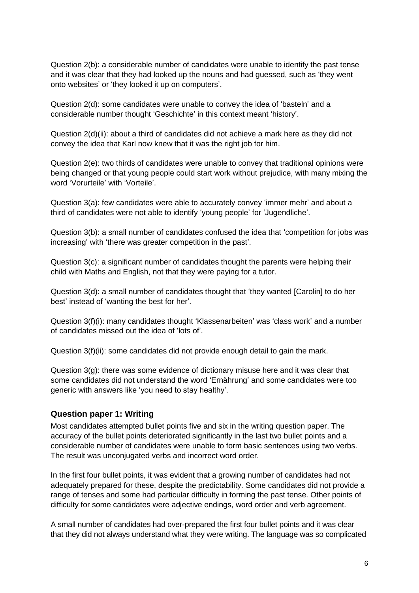Question 2(b): a considerable number of candidates were unable to identify the past tense and it was clear that they had looked up the nouns and had guessed, such as 'they went onto websites' or 'they looked it up on computers'.

Question 2(d): some candidates were unable to convey the idea of 'basteln' and a considerable number thought 'Geschichte' in this context meant 'history'.

Question 2(d)(ii): about a third of candidates did not achieve a mark here as they did not convey the idea that Karl now knew that it was the right job for him.

Question 2(e): two thirds of candidates were unable to convey that traditional opinions were being changed or that young people could start work without prejudice, with many mixing the word 'Vorurteile' with 'Vorteile'.

Question 3(a): few candidates were able to accurately convey 'immer mehr' and about a third of candidates were not able to identify 'young people' for 'Jugendliche'.

Question 3(b): a small number of candidates confused the idea that 'competition for jobs was increasing' with 'there was greater competition in the past'.

Question 3(c): a significant number of candidates thought the parents were helping their child with Maths and English, not that they were paying for a tutor.

Question 3(d): a small number of candidates thought that 'they wanted [Carolin] to do her best' instead of 'wanting the best for her'.

Question 3(f)(i): many candidates thought 'Klassenarbeiten' was 'class work' and a number of candidates missed out the idea of 'lots of'.

Question 3(f)(ii): some candidates did not provide enough detail to gain the mark.

Question  $3(q)$ : there was some evidence of dictionary misuse here and it was clear that some candidates did not understand the word 'Ernährung' and some candidates were too generic with answers like 'you need to stay healthy'.

#### **Question paper 1: Writing**

Most candidates attempted bullet points five and six in the writing question paper. The accuracy of the bullet points deteriorated significantly in the last two bullet points and a considerable number of candidates were unable to form basic sentences using two verbs. The result was unconjugated verbs and incorrect word order.

In the first four bullet points, it was evident that a growing number of candidates had not adequately prepared for these, despite the predictability. Some candidates did not provide a range of tenses and some had particular difficulty in forming the past tense. Other points of difficulty for some candidates were adjective endings, word order and verb agreement.

A small number of candidates had over-prepared the first four bullet points and it was clear that they did not always understand what they were writing. The language was so complicated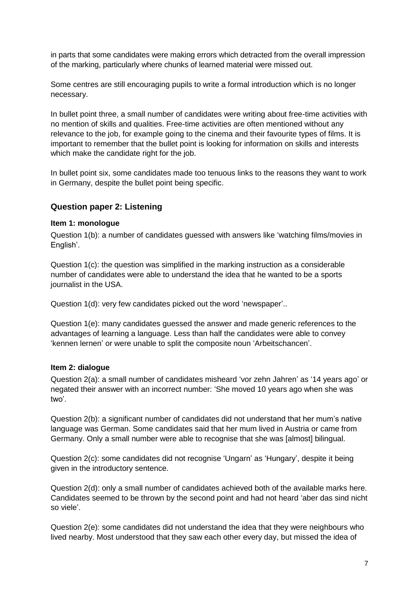in parts that some candidates were making errors which detracted from the overall impression of the marking, particularly where chunks of learned material were missed out.

Some centres are still encouraging pupils to write a formal introduction which is no longer necessary.

In bullet point three, a small number of candidates were writing about free-time activities with no mention of skills and qualities. Free-time activities are often mentioned without any relevance to the job, for example going to the cinema and their favourite types of films. It is important to remember that the bullet point is looking for information on skills and interests which make the candidate right for the job.

In bullet point six, some candidates made too tenuous links to the reasons they want to work in Germany, despite the bullet point being specific.

#### **Question paper 2: Listening**

#### **Item 1: monologue**

Question 1(b): a number of candidates guessed with answers like 'watching films/movies in English'.

Question 1(c): the question was simplified in the marking instruction as a considerable number of candidates were able to understand the idea that he wanted to be a sports journalist in the USA.

Question 1(d): very few candidates picked out the word 'newspaper'..

Question 1(e): many candidates guessed the answer and made generic references to the advantages of learning a language. Less than half the candidates were able to convey 'kennen lernen' or were unable to split the composite noun 'Arbeitschancen'.

#### **Item 2: dialogue**

Question 2(a): a small number of candidates misheard 'vor zehn Jahren' as '14 years ago' or negated their answer with an incorrect number: 'She moved 10 years ago when she was two'.

Question 2(b): a significant number of candidates did not understand that her mum's native language was German. Some candidates said that her mum lived in Austria or came from Germany. Only a small number were able to recognise that she was [almost] bilingual.

Question 2(c): some candidates did not recognise 'Ungarn' as 'Hungary', despite it being given in the introductory sentence.

Question 2(d): only a small number of candidates achieved both of the available marks here. Candidates seemed to be thrown by the second point and had not heard 'aber das sind nicht so viele'.

Question 2(e): some candidates did not understand the idea that they were neighbours who lived nearby. Most understood that they saw each other every day, but missed the idea of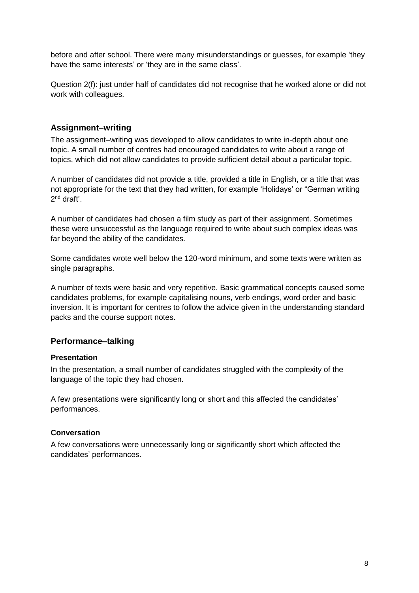before and after school. There were many misunderstandings or guesses, for example 'they have the same interests' or 'they are in the same class'.

Question 2(f): just under half of candidates did not recognise that he worked alone or did not work with colleagues.

#### **Assignment–writing**

The assignment–writing was developed to allow candidates to write in-depth about one topic. A small number of centres had encouraged candidates to write about a range of topics, which did not allow candidates to provide sufficient detail about a particular topic.

A number of candidates did not provide a title, provided a title in English, or a title that was not appropriate for the text that they had written, for example 'Holidays' or "German writing 2<sup>nd</sup> draft'.

A number of candidates had chosen a film study as part of their assignment. Sometimes these were unsuccessful as the language required to write about such complex ideas was far beyond the ability of the candidates.

Some candidates wrote well below the 120-word minimum, and some texts were written as single paragraphs.

A number of texts were basic and very repetitive. Basic grammatical concepts caused some candidates problems, for example capitalising nouns, verb endings, word order and basic inversion. It is important for centres to follow the advice given in the understanding standard packs and the course support notes.

#### **Performance–talking**

#### **Presentation**

In the presentation, a small number of candidates struggled with the complexity of the language of the topic they had chosen.

A few presentations were significantly long or short and this affected the candidates' performances.

#### **Conversation**

A few conversations were unnecessarily long or significantly short which affected the candidates' performances.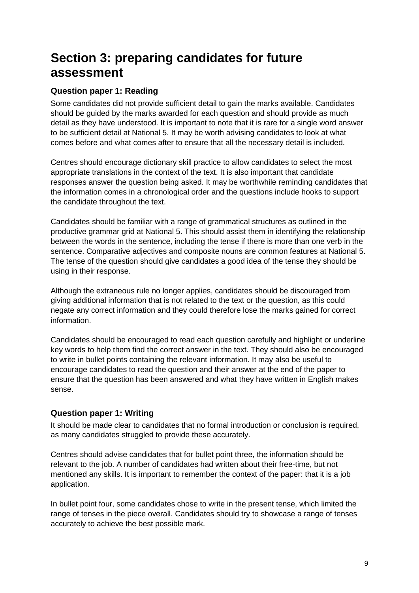## **Section 3: preparing candidates for future assessment**

#### **Question paper 1: Reading**

Some candidates did not provide sufficient detail to gain the marks available. Candidates should be guided by the marks awarded for each question and should provide as much detail as they have understood. It is important to note that it is rare for a single word answer to be sufficient detail at National 5. It may be worth advising candidates to look at what comes before and what comes after to ensure that all the necessary detail is included.

Centres should encourage dictionary skill practice to allow candidates to select the most appropriate translations in the context of the text. It is also important that candidate responses answer the question being asked. It may be worthwhile reminding candidates that the information comes in a chronological order and the questions include hooks to support the candidate throughout the text.

Candidates should be familiar with a range of grammatical structures as outlined in the productive grammar grid at National 5. This should assist them in identifying the relationship between the words in the sentence, including the tense if there is more than one verb in the sentence. Comparative adjectives and composite nouns are common features at National 5. The tense of the question should give candidates a good idea of the tense they should be using in their response.

Although the extraneous rule no longer applies, candidates should be discouraged from giving additional information that is not related to the text or the question, as this could negate any correct information and they could therefore lose the marks gained for correct information.

Candidates should be encouraged to read each question carefully and highlight or underline key words to help them find the correct answer in the text. They should also be encouraged to write in bullet points containing the relevant information. It may also be useful to encourage candidates to read the question and their answer at the end of the paper to ensure that the question has been answered and what they have written in English makes sense.

#### **Question paper 1: Writing**

It should be made clear to candidates that no formal introduction or conclusion is required, as many candidates struggled to provide these accurately.

Centres should advise candidates that for bullet point three, the information should be relevant to the job. A number of candidates had written about their free-time, but not mentioned any skills. It is important to remember the context of the paper: that it is a job application.

In bullet point four, some candidates chose to write in the present tense, which limited the range of tenses in the piece overall. Candidates should try to showcase a range of tenses accurately to achieve the best possible mark.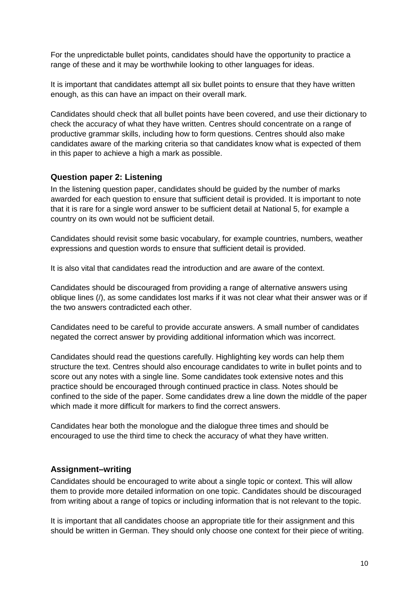For the unpredictable bullet points, candidates should have the opportunity to practice a range of these and it may be worthwhile looking to other languages for ideas.

It is important that candidates attempt all six bullet points to ensure that they have written enough, as this can have an impact on their overall mark.

Candidates should check that all bullet points have been covered, and use their dictionary to check the accuracy of what they have written. Centres should concentrate on a range of productive grammar skills, including how to form questions. Centres should also make candidates aware of the marking criteria so that candidates know what is expected of them in this paper to achieve a high a mark as possible.

#### **Question paper 2: Listening**

In the listening question paper, candidates should be guided by the number of marks awarded for each question to ensure that sufficient detail is provided. It is important to note that it is rare for a single word answer to be sufficient detail at National 5, for example a country on its own would not be sufficient detail.

Candidates should revisit some basic vocabulary, for example countries, numbers, weather expressions and question words to ensure that sufficient detail is provided.

It is also vital that candidates read the introduction and are aware of the context.

Candidates should be discouraged from providing a range of alternative answers using oblique lines (/), as some candidates lost marks if it was not clear what their answer was or if the two answers contradicted each other.

Candidates need to be careful to provide accurate answers. A small number of candidates negated the correct answer by providing additional information which was incorrect.

Candidates should read the questions carefully. Highlighting key words can help them structure the text. Centres should also encourage candidates to write in bullet points and to score out any notes with a single line. Some candidates took extensive notes and this practice should be encouraged through continued practice in class. Notes should be confined to the side of the paper. Some candidates drew a line down the middle of the paper which made it more difficult for markers to find the correct answers.

Candidates hear both the monologue and the dialogue three times and should be encouraged to use the third time to check the accuracy of what they have written.

#### **Assignment–writing**

Candidates should be encouraged to write about a single topic or context. This will allow them to provide more detailed information on one topic. Candidates should be discouraged from writing about a range of topics or including information that is not relevant to the topic.

It is important that all candidates choose an appropriate title for their assignment and this should be written in German. They should only choose one context for their piece of writing.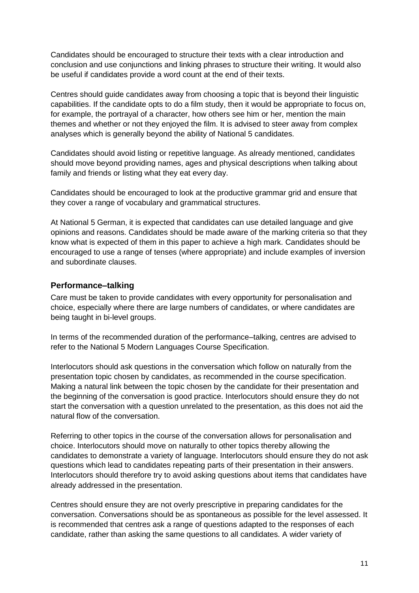Candidates should be encouraged to structure their texts with a clear introduction and conclusion and use conjunctions and linking phrases to structure their writing. It would also be useful if candidates provide a word count at the end of their texts.

Centres should guide candidates away from choosing a topic that is beyond their linguistic capabilities. If the candidate opts to do a film study, then it would be appropriate to focus on, for example, the portrayal of a character, how others see him or her, mention the main themes and whether or not they enjoyed the film. It is advised to steer away from complex analyses which is generally beyond the ability of National 5 candidates.

Candidates should avoid listing or repetitive language. As already mentioned, candidates should move beyond providing names, ages and physical descriptions when talking about family and friends or listing what they eat every day.

Candidates should be encouraged to look at the productive grammar grid and ensure that they cover a range of vocabulary and grammatical structures.

At National 5 German, it is expected that candidates can use detailed language and give opinions and reasons. Candidates should be made aware of the marking criteria so that they know what is expected of them in this paper to achieve a high mark. Candidates should be encouraged to use a range of tenses (where appropriate) and include examples of inversion and subordinate clauses.

#### **Performance–talking**

Care must be taken to provide candidates with every opportunity for personalisation and choice, especially where there are large numbers of candidates, or where candidates are being taught in bi-level groups.

In terms of the recommended duration of the performance–talking, centres are advised to refer to the National 5 Modern Languages Course Specification.

Interlocutors should ask questions in the conversation which follow on naturally from the presentation topic chosen by candidates, as recommended in the course specification. Making a natural link between the topic chosen by the candidate for their presentation and the beginning of the conversation is good practice. Interlocutors should ensure they do not start the conversation with a question unrelated to the presentation, as this does not aid the natural flow of the conversation.

Referring to other topics in the course of the conversation allows for personalisation and choice. Interlocutors should move on naturally to other topics thereby allowing the candidates to demonstrate a variety of language. Interlocutors should ensure they do not ask questions which lead to candidates repeating parts of their presentation in their answers. Interlocutors should therefore try to avoid asking questions about items that candidates have already addressed in the presentation.

Centres should ensure they are not overly prescriptive in preparing candidates for the conversation. Conversations should be as spontaneous as possible for the level assessed. It is recommended that centres ask a range of questions adapted to the responses of each candidate, rather than asking the same questions to all candidates. A wider variety of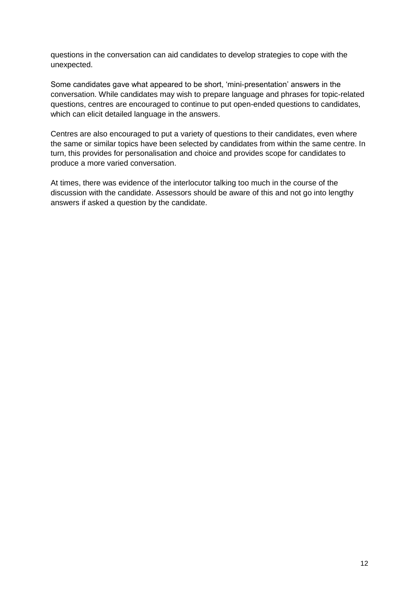questions in the conversation can aid candidates to develop strategies to cope with the unexpected.

Some candidates gave what appeared to be short, 'mini-presentation' answers in the conversation. While candidates may wish to prepare language and phrases for topic-related questions, centres are encouraged to continue to put open-ended questions to candidates, which can elicit detailed language in the answers.

Centres are also encouraged to put a variety of questions to their candidates, even where the same or similar topics have been selected by candidates from within the same centre. In turn, this provides for personalisation and choice and provides scope for candidates to produce a more varied conversation.

At times, there was evidence of the interlocutor talking too much in the course of the discussion with the candidate. Assessors should be aware of this and not go into lengthy answers if asked a question by the candidate.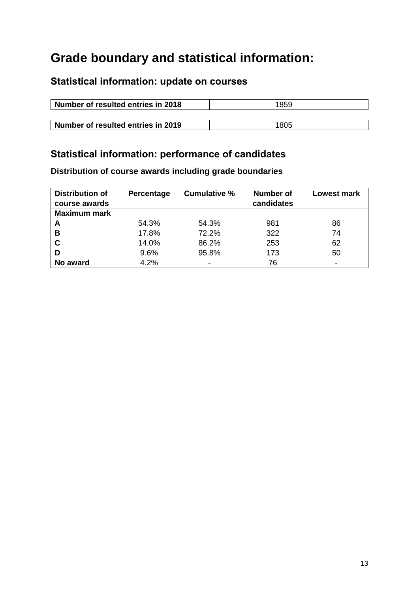## **Grade boundary and statistical information:**

### **Statistical information: update on courses**

| Number of resulted entries in 2018 | 1859 |  |  |
|------------------------------------|------|--|--|
|                                    |      |  |  |
| Number of resulted entries in 2019 | 1805 |  |  |

## **Statistical information: performance of candidates**

**Distribution of course awards including grade boundaries**

| <b>Distribution of</b><br>course awards | <b>Percentage</b> | <b>Cumulative %</b> | Number of<br>candidates | <b>Lowest mark</b> |
|-----------------------------------------|-------------------|---------------------|-------------------------|--------------------|
| <b>Maximum mark</b>                     |                   |                     |                         |                    |
| A                                       | 54.3%             | 54.3%               | 981                     | 86                 |
| В                                       | 17.8%             | 72.2%               | 322                     | 74                 |
| C                                       | 14.0%             | 86.2%               | 253                     | 62                 |
| D                                       | 9.6%              | 95.8%               | 173                     | 50                 |
| No award                                | 4.2%              |                     | 76                      |                    |